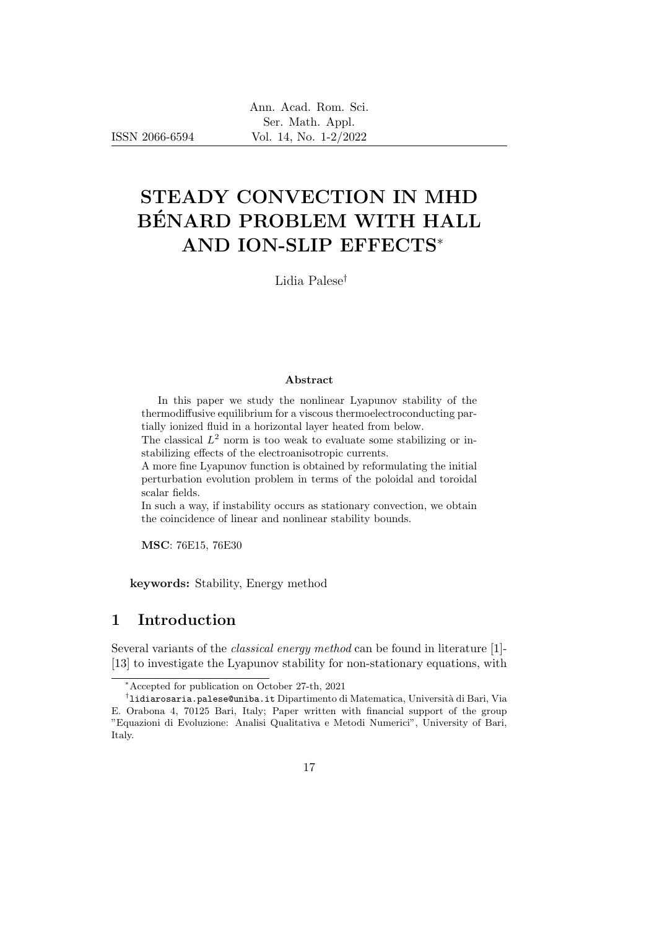ISSN 2066-6594

# STEADY CONVECTION IN MHD BÉNARD PROBLEM WITH HALL AND ION-SLIP EFFECTS<sup>∗</sup>

Lidia Palese†

#### Abstract

In this paper we study the nonlinear Lyapunov stability of the thermodiffusive equilibrium for a viscous thermoelectroconducting partially ionized fluid in a horizontal layer heated from below.

The classical  $L^2$  norm is too weak to evaluate some stabilizing or instabilizing effects of the electroanisotropic currents.

A more fine Lyapunov function is obtained by reformulating the initial perturbation evolution problem in terms of the poloidal and toroidal scalar fields.

In such a way, if instability occurs as stationary convection, we obtain the coincidence of linear and nonlinear stability bounds.

MSC: 76E15, 76E30

keywords: Stability, Energy method

## 1 Introduction

Several variants of the classical energy method can be found in literature [1]- [13] to investigate the Lyapunov stability for non-stationary equations, with

<sup>∗</sup>Accepted for publication on October 27-th, 2021

 $^\dagger$ lidiarosaria.palese@uniba.it Dipartimento di Matematica, Università di Bari, Via E. Orabona 4, 70125 Bari, Italy; Paper written with financial support of the group "Equazioni di Evoluzione: Analisi Qualitativa e Metodi Numerici", University of Bari, Italy.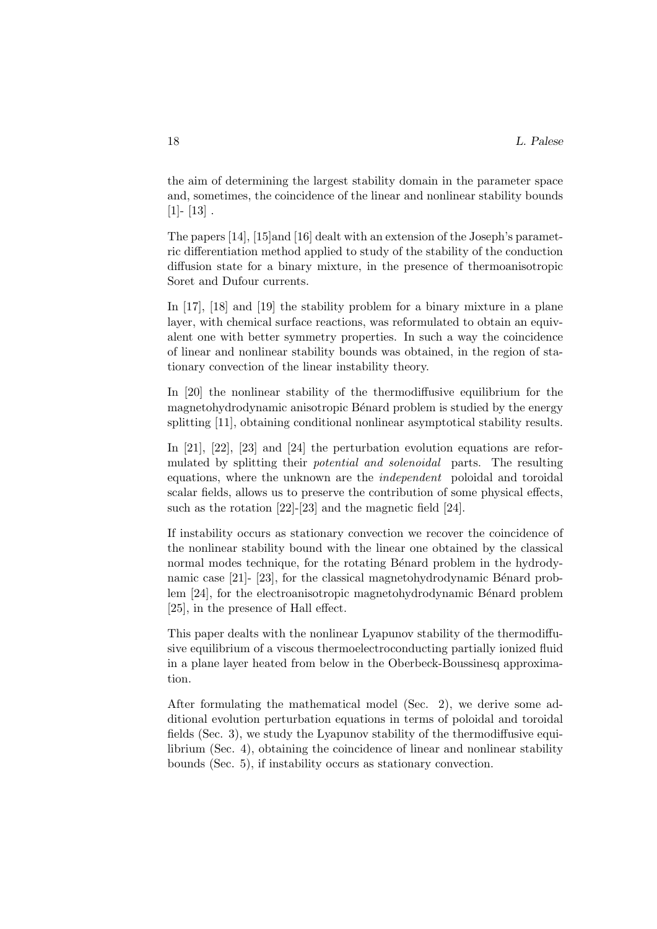the aim of determining the largest stability domain in the parameter space and, sometimes, the coincidence of the linear and nonlinear stability bounds  $[1]$ -  $[13]$ .

The papers [14], [15]and [16] dealt with an extension of the Joseph's parametric differentiation method applied to study of the stability of the conduction diffusion state for a binary mixture, in the presence of thermoanisotropic Soret and Dufour currents.

In [17], [18] and [19] the stability problem for a binary mixture in a plane layer, with chemical surface reactions, was reformulated to obtain an equivalent one with better symmetry properties. In such a way the coincidence of linear and nonlinear stability bounds was obtained, in the region of stationary convection of the linear instability theory.

In [20] the nonlinear stability of the thermodiffusive equilibrium for the magnetohydrodynamic anisotropic Bénard problem is studied by the energy splitting [11], obtaining conditional nonlinear asymptotical stability results.

In [21], [22], [23] and [24] the perturbation evolution equations are reformulated by splitting their potential and solenoidal parts. The resulting equations, where the unknown are the independent poloidal and toroidal scalar fields, allows us to preserve the contribution of some physical effects, such as the rotation [22]-[23] and the magnetic field [24].

If instability occurs as stationary convection we recover the coincidence of the nonlinear stability bound with the linear one obtained by the classical normal modes technique, for the rotating Bénard problem in the hydrodynamic case  $[21]$ -  $[23]$ , for the classical magnetohydrodynamic Bénard problem [24], for the electroanisotropic magnetohydrodynamic Bénard problem [25], in the presence of Hall effect.

This paper dealts with the nonlinear Lyapunov stability of the thermodiffusive equilibrium of a viscous thermoelectroconducting partially ionized fluid in a plane layer heated from below in the Oberbeck-Boussinesq approximation.

After formulating the mathematical model (Sec. 2), we derive some additional evolution perturbation equations in terms of poloidal and toroidal fields (Sec. 3), we study the Lyapunov stability of the thermodiffusive equilibrium (Sec. 4), obtaining the coincidence of linear and nonlinear stability bounds (Sec. 5), if instability occurs as stationary convection.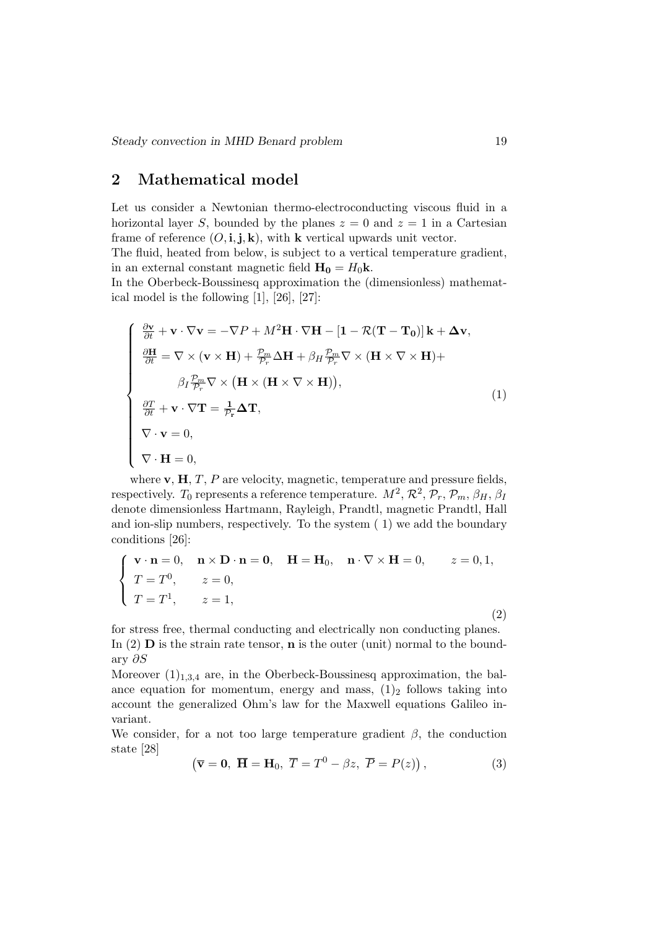# 2 Mathematical model

Let us consider a Newtonian thermo-electroconducting viscous fluid in a horizontal layer S, bounded by the planes  $z = 0$  and  $z = 1$  in a Cartesian frame of reference  $(O, i, j, k)$ , with k vertical upwards unit vector. The fluid, heated from below, is subject to a vertical temperature gradient, in an external constant magnetic field  $H_0 = H_0 k$ .

In the Oberbeck-Boussinesq approximation the (dimensionless) mathematical model is the following [1], [26], [27]:

$$
\begin{cases}\n\frac{\partial \mathbf{v}}{\partial t} + \mathbf{v} \cdot \nabla \mathbf{v} = -\nabla P + M^2 \mathbf{H} \cdot \nabla \mathbf{H} - [\mathbf{1} - \mathcal{R}(\mathbf{T} - \mathbf{T_0})] \mathbf{k} + \Delta \mathbf{v}, \\
\frac{\partial \mathbf{H}}{\partial t} = \nabla \times (\mathbf{v} \times \mathbf{H}) + \frac{p_m}{p_r} \Delta \mathbf{H} + \beta_H \frac{p_m}{p_r} \nabla \times (\mathbf{H} \times \nabla \times \mathbf{H}) + \\
\beta_I \frac{p_m}{p_r} \nabla \times (\mathbf{H} \times (\mathbf{H} \times \nabla \times \mathbf{H})), \\
\frac{\partial T}{\partial t} + \mathbf{v} \cdot \nabla \mathbf{T} = \frac{1}{p_r} \Delta \mathbf{T}, \\
\nabla \cdot \mathbf{v} = 0, \\
\nabla \cdot \mathbf{H} = 0,\n\end{cases}
$$
\n(1)

where  $\mathbf{v}, \mathbf{H}, T, P$  are velocity, magnetic, temperature and pressure fields, respectively. T<sub>0</sub> represents a reference temperature.  $M^2$ ,  $\mathcal{R}^2$ ,  $\mathcal{P}_r$ ,  $\mathcal{P}_m$ ,  $\beta_H$ ,  $\beta_I$ denote dimensionless Hartmann, Rayleigh, Prandtl, magnetic Prandtl, Hall and ion-slip numbers, respectively. To the system ( 1) we add the boundary conditions [26]:

$$
\begin{cases}\n\mathbf{v} \cdot \mathbf{n} = 0, & \mathbf{n} \times \mathbf{D} \cdot \mathbf{n} = \mathbf{0}, \quad \mathbf{H} = \mathbf{H}_0, \quad \mathbf{n} \cdot \nabla \times \mathbf{H} = 0, \qquad z = 0, 1, \\
T = T^0, & z = 0, \\
T = T^1, & z = 1,\n\end{cases}
$$

for stress free, thermal conducting and electrically non conducting planes. In (2)  $\bf{D}$  is the strain rate tensor,  $\bf{n}$  is the outer (unit) normal to the boundary ∂S

Moreover  $(1)_{1,3,4}$  are, in the Oberbeck-Boussinesq approximation, the balance equation for momentum, energy and mass,  $(1)_2$  follows taking into account the generalized Ohm's law for the Maxwell equations Galileo invariant.

We consider, for a not too large temperature gradient  $\beta$ , the conduction state [28]

$$
(\overline{\mathbf{v}} = \mathbf{0}, \ \overline{\mathbf{H}} = \mathbf{H}_0, \ \overline{T} = T^0 - \beta z, \ \overline{P} = P(z)), \tag{3}
$$

(2)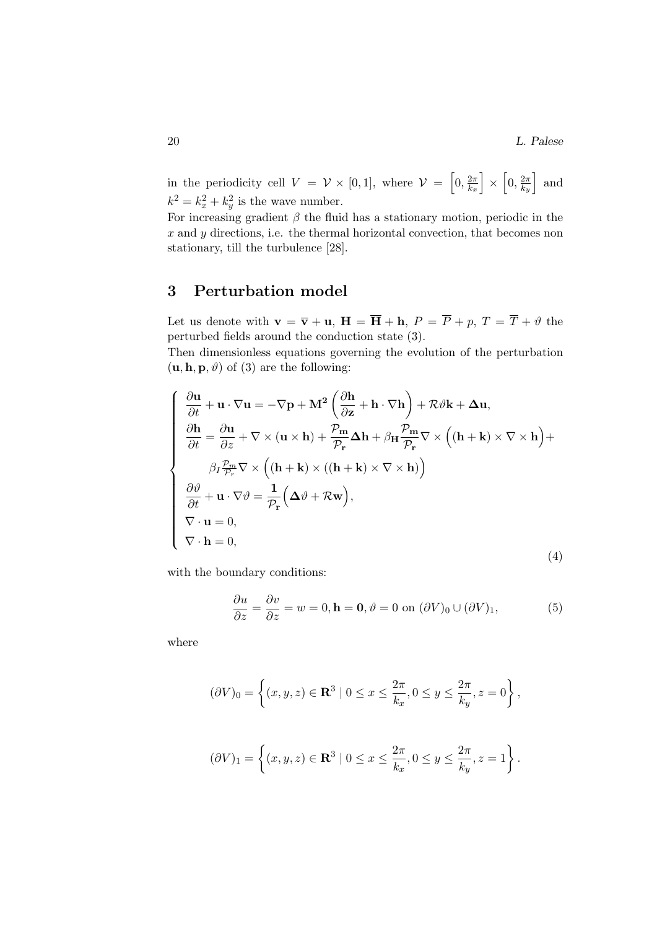in the periodicity cell  $V = V \times [0,1]$ , where  $V = \left[0, \frac{2\pi}{k}\right]$  $\left[\frac{2\pi}{k_x}\right]\,\times\,\left[0,\frac{2\pi}{k_y}\right]$  $\left[\frac{2\pi}{k_y}\right]$  and  $k^2 = k_x^2 + k_y^2$  is the wave number.

For increasing gradient  $\beta$  the fluid has a stationary motion, periodic in the  $x$  and  $y$  directions, i.e. the thermal horizontal convection, that becomes non stationary, till the turbulence [28].

# 3 Perturbation model

Let us denote with  $\mathbf{v} = \overline{\mathbf{v}} + \mathbf{u}$ ,  $\mathbf{H} = \overline{\mathbf{H}} + \mathbf{h}$ ,  $P = \overline{P} + p$ ,  $T = \overline{T} + \vartheta$  the perturbed fields around the conduction state (3).

Then dimensionless equations governing the evolution of the perturbation  $(\mathbf{u}, \mathbf{h}, \mathbf{p}, \vartheta)$  of (3) are the following:

$$
\begin{cases}\n\frac{\partial \mathbf{u}}{\partial t} + \mathbf{u} \cdot \nabla \mathbf{u} = -\nabla \mathbf{p} + \mathbf{M}^2 \left( \frac{\partial \mathbf{h}}{\partial \mathbf{z}} + \mathbf{h} \cdot \nabla \mathbf{h} \right) + \mathcal{R} \vartheta \mathbf{k} + \Delta \mathbf{u}, \\
\frac{\partial \mathbf{h}}{\partial t} = \frac{\partial \mathbf{u}}{\partial z} + \nabla \times (\mathbf{u} \times \mathbf{h}) + \frac{\mathcal{P}_{\mathbf{m}}}{\mathcal{P}_{\mathbf{r}}} \Delta \mathbf{h} + \beta_{\mathbf{H}} \frac{\mathcal{P}_{\mathbf{m}}}{\mathcal{P}_{\mathbf{r}}} \nabla \times ((\mathbf{h} + \mathbf{k}) \times \nabla \times \mathbf{h}) + \\
\beta_{I} \frac{\beta_{I}}{\mathcal{P}_{\mathcal{P}}^{2}} \nabla \times ((\mathbf{h} + \mathbf{k}) \times ((\mathbf{h} + \mathbf{k}) \times \nabla \times \mathbf{h})) \\
\frac{\partial \vartheta}{\partial t} + \mathbf{u} \cdot \nabla \vartheta = \frac{1}{\mathcal{P}_{\mathbf{r}}} (\Delta \vartheta + \mathcal{R} \mathbf{w}), \\
\nabla \cdot \mathbf{u} = 0, \\
\nabla \cdot \mathbf{h} = 0,\n\end{cases}
$$
\n(4)

with the boundary conditions:

$$
\frac{\partial u}{\partial z} = \frac{\partial v}{\partial z} = w = 0, \mathbf{h} = \mathbf{0}, \vartheta = 0 \text{ on } (\partial V)_0 \cup (\partial V)_1,\tag{5}
$$

where

$$
(\partial V)_0 = \left\{ (x, y, z) \in \mathbf{R}^3 \mid 0 \le x \le \frac{2\pi}{k_x}, 0 \le y \le \frac{2\pi}{k_y}, z = 0 \right\},\
$$

$$
(\partial V)_1 = \left\{ (x, y, z) \in \mathbf{R}^3 \mid 0 \le x \le \frac{2\pi}{k_x}, 0 \le y \le \frac{2\pi}{k_y}, z = 1 \right\}.
$$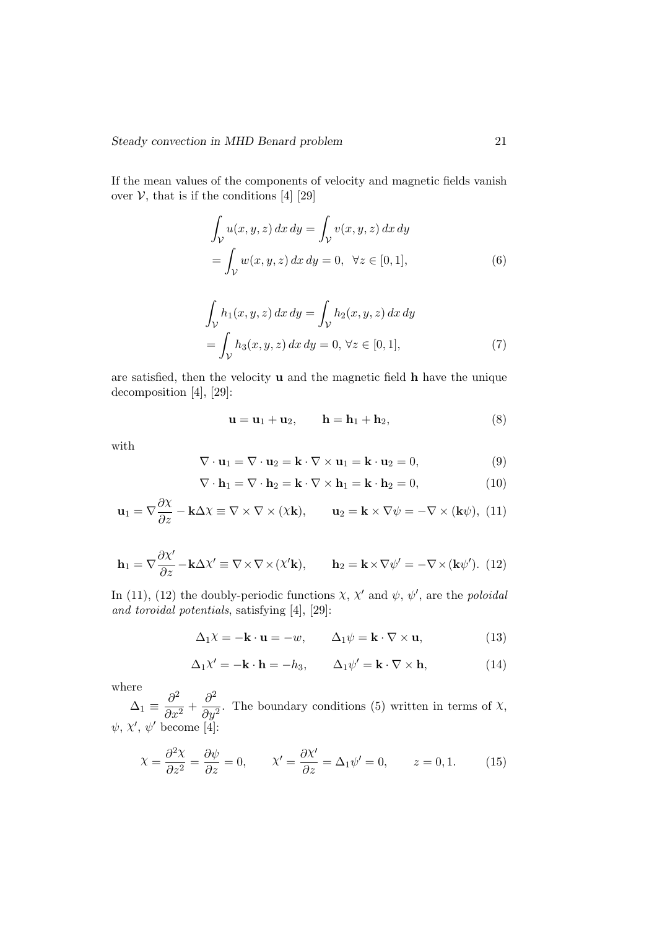If the mean values of the components of velocity and magnetic fields vanish over  $V$ , that is if the conditions [4] [29]

$$
\int_{\mathcal{V}} u(x, y, z) dx dy = \int_{\mathcal{V}} v(x, y, z) dx dy
$$

$$
= \int_{\mathcal{V}} w(x, y, z) dx dy = 0, \quad \forall z \in [0, 1],
$$
 (6)

$$
\int_{\mathcal{V}} h_1(x, y, z) dx dy = \int_{\mathcal{V}} h_2(x, y, z) dx dy
$$

$$
= \int_{\mathcal{V}} h_3(x, y, z) dx dy = 0, \forall z \in [0, 1], \tag{7}
$$

are satisfied, then the velocity u and the magnetic field h have the unique decomposition [4], [29]:

$$
\mathbf{u} = \mathbf{u}_1 + \mathbf{u}_2, \qquad \mathbf{h} = \mathbf{h}_1 + \mathbf{h}_2,\tag{8}
$$

with

$$
\nabla \cdot \mathbf{u}_1 = \nabla \cdot \mathbf{u}_2 = \mathbf{k} \cdot \nabla \times \mathbf{u}_1 = \mathbf{k} \cdot \mathbf{u}_2 = 0, \tag{9}
$$

$$
\nabla \cdot \mathbf{h}_1 = \nabla \cdot \mathbf{h}_2 = \mathbf{k} \cdot \nabla \times \mathbf{h}_1 = \mathbf{k} \cdot \mathbf{h}_2 = 0, \tag{10}
$$

$$
\mathbf{u}_1 = \nabla \frac{\partial \chi}{\partial z} - \mathbf{k} \Delta \chi \equiv \nabla \times \nabla \times (\chi \mathbf{k}), \qquad \mathbf{u}_2 = \mathbf{k} \times \nabla \psi = -\nabla \times (\mathbf{k} \psi), \tag{11}
$$

$$
\mathbf{h}_1 = \nabla \frac{\partial \chi'}{\partial z} - \mathbf{k} \Delta \chi' \equiv \nabla \times \nabla \times (\chi' \mathbf{k}), \qquad \mathbf{h}_2 = \mathbf{k} \times \nabla \psi' = -\nabla \times (\mathbf{k} \psi'). \tag{12}
$$

In (11), (12) the doubly-periodic functions  $\chi$ ,  $\chi'$  and  $\psi$ ,  $\psi'$ , are the *poloidal* and toroidal potentials, satisfying [4], [29]:

$$
\Delta_1 \chi = -\mathbf{k} \cdot \mathbf{u} = -w, \qquad \Delta_1 \psi = \mathbf{k} \cdot \nabla \times \mathbf{u}, \tag{13}
$$

$$
\Delta_1 \chi' = -\mathbf{k} \cdot \mathbf{h} = -h_3, \qquad \Delta_1 \psi' = \mathbf{k} \cdot \nabla \times \mathbf{h}, \tag{14}
$$

where

 $\Delta_1 \equiv \frac{\partial^2}{\partial x^2}$  $rac{\partial^2}{\partial x^2} + \frac{\partial^2}{\partial y^2}$  $\frac{\partial}{\partial y^2}$ . The boundary conditions (5) written in terms of  $\chi$ ,  $\psi, \chi', \psi'$  become [4]:

$$
\chi = \frac{\partial^2 \chi}{\partial z^2} = \frac{\partial \psi}{\partial z} = 0, \qquad \chi' = \frac{\partial \chi'}{\partial z} = \Delta_1 \psi' = 0, \qquad z = 0, 1. \tag{15}
$$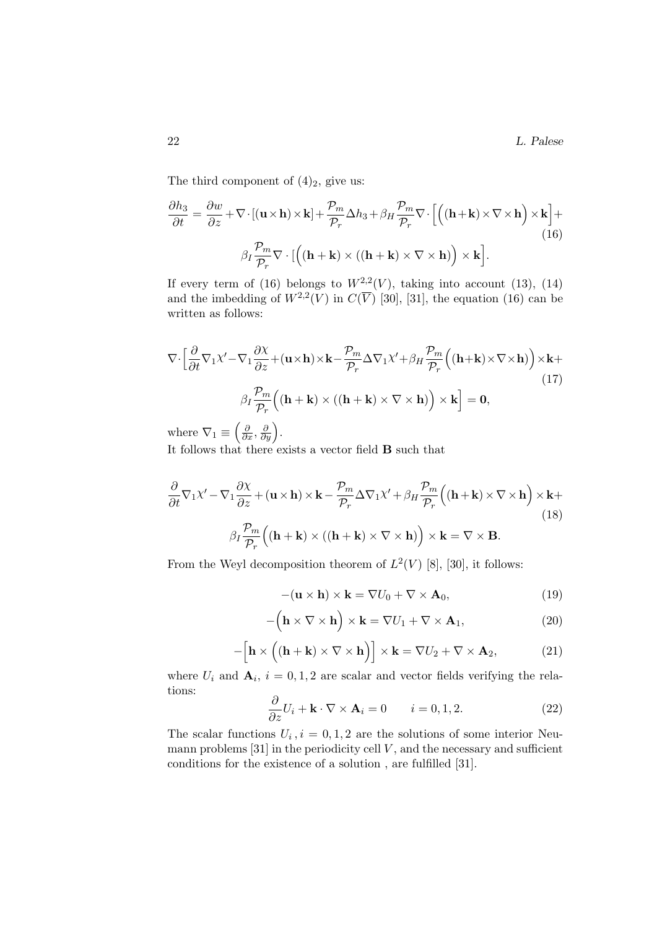The third component of  $(4)_2$ , give us:

$$
\frac{\partial h_3}{\partial t} = \frac{\partial w}{\partial z} + \nabla \cdot \left[ (\mathbf{u} \times \mathbf{h}) \times \mathbf{k} \right] + \frac{\mathcal{P}_m}{\mathcal{P}_r} \Delta h_3 + \beta_H \frac{\mathcal{P}_m}{\mathcal{P}_r} \nabla \cdot \left[ \left( (\mathbf{h} + \mathbf{k}) \times \nabla \times \mathbf{h} \right) \times \mathbf{k} \right] +
$$
\n
$$
\beta_I \frac{\mathcal{P}_m}{\mathcal{P}_r} \nabla \cdot \left[ \left( (\mathbf{h} + \mathbf{k}) \times ((\mathbf{h} + \mathbf{k}) \times \nabla \times \mathbf{h}) \right) \times \mathbf{k} \right].
$$
\n(16)

If every term of (16) belongs to  $W^{2,2}(V)$ , taking into account (13), (14) and the imbedding of  $W^{2,2}(V)$  in  $C(\overline{V})$  [30], [31], the equation (16) can be written as follows:

$$
\nabla \cdot \left[ \frac{\partial}{\partial t} \nabla_1 \chi' - \nabla_1 \frac{\partial \chi}{\partial z} + (\mathbf{u} \times \mathbf{h}) \times \mathbf{k} - \frac{\mathcal{P}_m}{\mathcal{P}_r} \Delta \nabla_1 \chi' + \beta_H \frac{\mathcal{P}_m}{\mathcal{P}_r} \left( (\mathbf{h} + \mathbf{k}) \times \nabla \times \mathbf{h} \right) \right) \times \mathbf{k} +
$$
  
\n(17)  
\n
$$
\beta_I \frac{\mathcal{P}_m}{\mathcal{P}_r} \left( (\mathbf{h} + \mathbf{k}) \times ((\mathbf{h} + \mathbf{k}) \times \nabla \times \mathbf{h}) \right) \times \mathbf{k} \right] = \mathbf{0},
$$

where  $\nabla_1 \equiv \left(\frac{\partial}{\partial x}, \frac{\partial}{\partial y}\right)$ .

It follows that there exists a vector field B such that

$$
\frac{\partial}{\partial t} \nabla_1 \chi' - \nabla_1 \frac{\partial \chi}{\partial z} + (\mathbf{u} \times \mathbf{h}) \times \mathbf{k} - \frac{\mathcal{P}_m}{\mathcal{P}_r} \Delta \nabla_1 \chi' + \beta_H \frac{\mathcal{P}_m}{\mathcal{P}_r} ((\mathbf{h} + \mathbf{k}) \times \nabla \times \mathbf{h}) \times \mathbf{k} +
$$
\n(18)\n
$$
\beta_I \frac{\mathcal{P}_m}{\mathcal{P}_r} ((\mathbf{h} + \mathbf{k}) \times ((\mathbf{h} + \mathbf{k}) \times \nabla \times \mathbf{h})) \times \mathbf{k} = \nabla \times \mathbf{B}.
$$

From the Weyl decomposition theorem of  $L^2(V)$  [8], [30], it follows:

$$
-(\mathbf{u} \times \mathbf{h}) \times \mathbf{k} = \nabla U_0 + \nabla \times \mathbf{A}_0, \tag{19}
$$

$$
-\left(\mathbf{h}\times\nabla\times\mathbf{h}\right)\times\mathbf{k}=\nabla U_1+\nabla\times\mathbf{A}_1,\tag{20}
$$

$$
-\Big[\mathbf{h}\times\Big((\mathbf{h}+\mathbf{k})\times\nabla\times\mathbf{h}\Big)\Big]\times\mathbf{k}=\nabla U_2+\nabla\times\mathbf{A}_2,\tag{21}
$$

where  $U_i$  and  $\mathbf{A}_i$ ,  $i = 0, 1, 2$  are scalar and vector fields verifying the relations: ∂

$$
\frac{\partial}{\partial z}U_i + \mathbf{k} \cdot \nabla \times \mathbf{A}_i = 0 \qquad i = 0, 1, 2. \tag{22}
$$

The scalar functions  $U_i$ ,  $i = 0, 1, 2$  are the solutions of some interior Neumann problems  $[31]$  in the periodicity cell  $V$ , and the necessary and sufficient conditions for the existence of a solution , are fulfilled [31].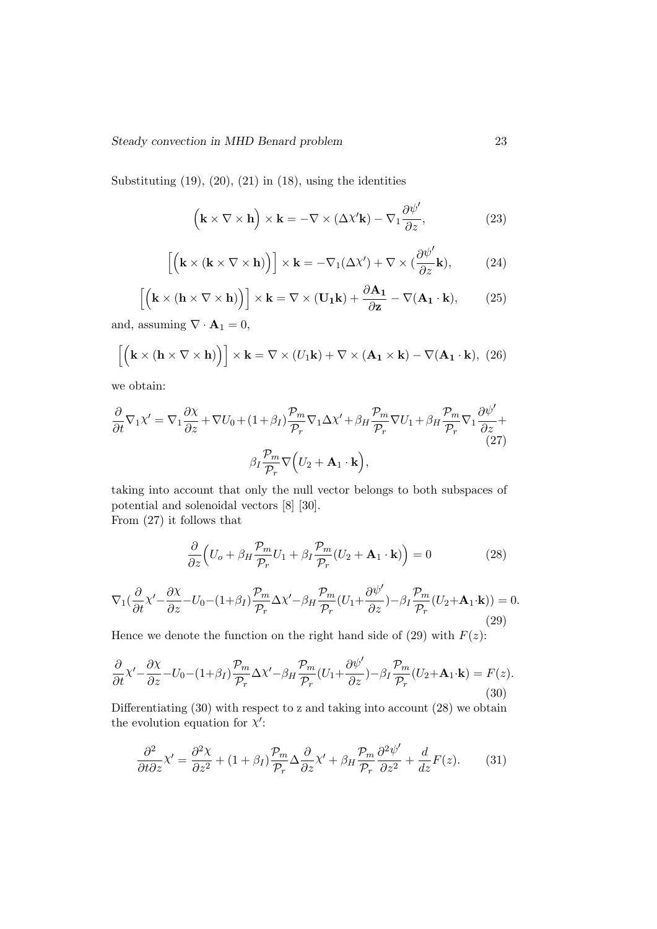Substituting  $(19)$ ,  $(20)$ ,  $(21)$  in  $(18)$ , using the identities

$$
\left(\mathbf{k} \times \nabla \times \mathbf{h}\right) \times \mathbf{k} = -\nabla \times (\Delta \chi' \mathbf{k}) - \nabla_1 \frac{\partial \psi'}{\partial z},\tag{23}
$$

$$
\left[ \left( \mathbf{k} \times (\mathbf{k} \times \nabla \times \mathbf{h}) \right) \right] \times \mathbf{k} = -\nabla_1(\Delta \chi') + \nabla \times (\frac{\partial \psi'}{\partial z} \mathbf{k}),\tag{24}
$$

$$
\left[ \left( \mathbf{k} \times (\mathbf{h} \times \nabla \times \mathbf{h}) \right) \right] \times \mathbf{k} = \nabla \times (\mathbf{U}_1 \mathbf{k}) + \frac{\partial \mathbf{A}_1}{\partial \mathbf{z}} - \nabla (\mathbf{A}_1 \cdot \mathbf{k}), \tag{25}
$$

and, assuming  $\nabla \cdot \mathbf{A}_1 = 0$ ,

$$
\left[ \left( \mathbf{k} \times (\mathbf{h} \times \nabla \times \mathbf{h}) \right) \right] \times \mathbf{k} = \nabla \times (U_1 \mathbf{k}) + \nabla \times (\mathbf{A}_1 \times \mathbf{k}) - \nabla (\mathbf{A}_1 \cdot \mathbf{k}), \tag{26}
$$

we obtain:

$$
\frac{\partial}{\partial t} \nabla_1 \chi' = \nabla_1 \frac{\partial \chi}{\partial z} + \nabla U_0 + (1 + \beta_I) \frac{\mathcal{P}_m}{\mathcal{P}_r} \nabla_1 \Delta \chi' + \beta_H \frac{\mathcal{P}_m}{\mathcal{P}_r} \nabla U_1 + \beta_H \frac{\mathcal{P}_m}{\mathcal{P}_r} \nabla_1 \frac{\partial \psi'}{\partial z} + \beta_I \frac{\mathcal{P}_m}{\mathcal{P}_r} \nabla \left( U_2 + \mathbf{A}_1 \cdot \mathbf{k} \right),
$$
\n(27)

taking into account that only the null vector belongs to both subspaces of potential and solenoidal vectors [8] [30]. From (27) it follows that

$$
\frac{\partial}{\partial z}\Big(U_o + \beta_H \frac{\mathcal{P}_m}{\mathcal{P}_r} U_1 + \beta_I \frac{\mathcal{P}_m}{\mathcal{P}_r} (U_2 + \mathbf{A}_1 \cdot \mathbf{k})\Big) = 0 \tag{28}
$$

$$
\nabla_1(\frac{\partial}{\partial t}\chi' - \frac{\partial \chi}{\partial z} - U_0 - (1+\beta_I)\frac{\mathcal{P}_m}{\mathcal{P}_r}\Delta\chi' - \beta_H \frac{\mathcal{P}_m}{\mathcal{P}_r}(U_1 + \frac{\partial \psi'}{\partial z}) - \beta_I \frac{\mathcal{P}_m}{\mathcal{P}_r}(U_2 + \mathbf{A}_1 \cdot \mathbf{k})) = 0.
$$
\n(29)

Hence we denote the function on the right hand side of (29) with  $F(z)$ :

$$
\frac{\partial}{\partial t}\chi' - \frac{\partial \chi}{\partial z} - U_0 - (1+\beta_I)\frac{\mathcal{P}_m}{\mathcal{P}_r}\Delta\chi' - \beta_H \frac{\mathcal{P}_m}{\mathcal{P}_r}(U_1 + \frac{\partial \psi'}{\partial z}) - \beta_I \frac{\mathcal{P}_m}{\mathcal{P}_r}(U_2 + \mathbf{A}_1 \cdot \mathbf{k}) = F(z). \tag{30}
$$

Differentiating (30) with respect to z and taking into account (28) we obtain the evolution equation for  $X'$ :

$$
\frac{\partial^2}{\partial t \partial z} \chi' = \frac{\partial^2 \chi}{\partial z^2} + (1 + \beta_I) \frac{\mathcal{P}_m}{\mathcal{P}_r} \Delta \frac{\partial}{\partial z} \chi' + \beta_H \frac{\mathcal{P}_m}{\mathcal{P}_r} \frac{\partial^2 \psi'}{\partial z^2} + \frac{d}{dz} F(z). \tag{31}
$$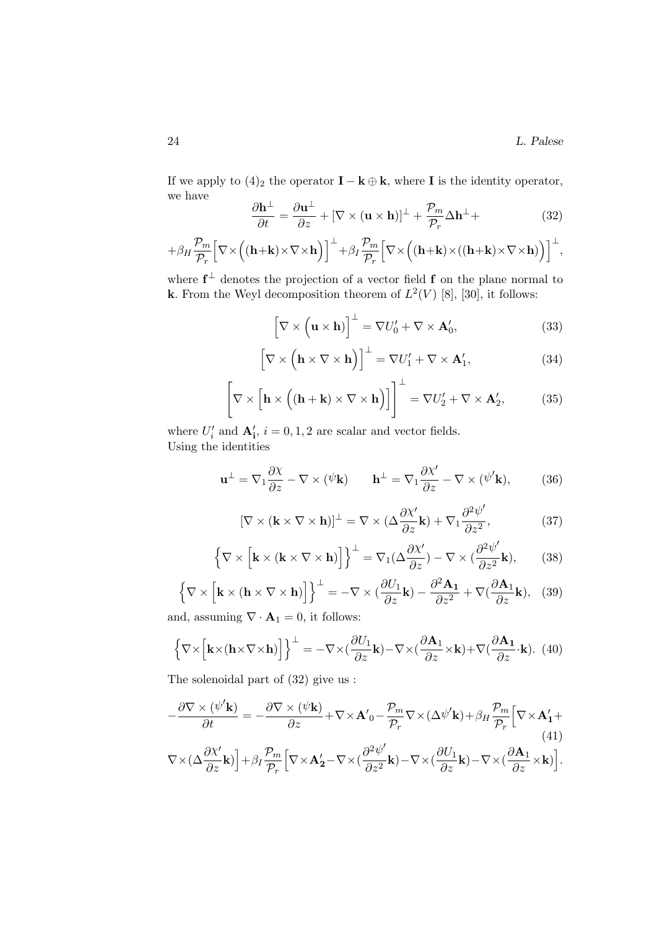If we apply to  $(4)_2$  the operator **I** − **k**  $\oplus$  **k**, where **I** is the identity operator, we have

$$
\frac{\partial \mathbf{h}^{\perp}}{\partial t} = \frac{\partial \mathbf{u}^{\perp}}{\partial z} + [\nabla \times (\mathbf{u} \times \mathbf{h})]^{\perp} + \frac{\mathcal{P}_m}{\mathcal{P}_r} \Delta \mathbf{h}^{\perp} + \tag{32}
$$

$$
+\beta_H\frac{\mathcal{P}_m}{\mathcal{P}_r}\Big[\nabla\times\Big((\mathbf{h}+\mathbf{k})\times\nabla\times\mathbf{h}\Big)\Big]^{\perp}+\beta_I\frac{\mathcal{P}_m}{\mathcal{P}_r}\Big[\nabla\times\Big((\mathbf{h}+\mathbf{k})\times((\mathbf{h}+\mathbf{k})\times\nabla\times\mathbf{h})\Big)\Big]^{\perp},
$$

where  $f^{\perp}$  denotes the projection of a vector field f on the plane normal to **k**. From the Weyl decomposition theorem of  $L^2(V)$  [8], [30], it follows:

$$
\left[\nabla \times (\mathbf{u} \times \mathbf{h})\right]^{\perp} = \nabla U'_0 + \nabla \times \mathbf{A}'_0,\tag{33}
$$

$$
\left[\nabla \times \left(\mathbf{h} \times \nabla \times \mathbf{h}\right)\right]^{\perp} = \nabla U_1' + \nabla \times \mathbf{A}_1',\tag{34}
$$

$$
\left[\nabla \times \left[\mathbf{h} \times \left((\mathbf{h} + \mathbf{k}) \times \nabla \times \mathbf{h}\right)\right]\right]^{\perp} = \nabla U_2' + \nabla \times \mathbf{A}_2',\tag{35}
$$

where  $U'_i$  and  $\mathbf{A}'_i$ ,  $i = 0, 1, 2$  are scalar and vector fields. Using the identities

$$
\mathbf{u}^{\perp} = \nabla_1 \frac{\partial \chi}{\partial z} - \nabla \times (\psi \mathbf{k}) \qquad \mathbf{h}^{\perp} = \nabla_1 \frac{\partial \chi'}{\partial z} - \nabla \times (\psi' \mathbf{k}), \tag{36}
$$

$$
[\nabla \times (\mathbf{k} \times \nabla \times \mathbf{h})]^{\perp} = \nabla \times (\Delta \frac{\partial \chi'}{\partial z} \mathbf{k}) + \nabla_1 \frac{\partial^2 \psi'}{\partial z^2},
$$
(37)

$$
\left\{\nabla \times \left[\mathbf{k} \times (\mathbf{k} \times \nabla \times \mathbf{h})\right]\right\}^{\perp} = \nabla_1(\Delta \frac{\partial \chi'}{\partial z}) - \nabla \times (\frac{\partial^2 \psi'}{\partial z^2} \mathbf{k}),\tag{38}
$$

$$
\left\{\nabla \times \left[\mathbf{k} \times (\mathbf{h} \times \nabla \times \mathbf{h})\right]\right\}^{\perp} = -\nabla \times \left(\frac{\partial U_1}{\partial z}\mathbf{k}\right) - \frac{\partial^2 \mathbf{A}_1}{\partial z^2} + \nabla \left(\frac{\partial \mathbf{A}_1}{\partial z}\mathbf{k}\right), \tag{39}
$$

and, assuming  $\nabla \cdot \mathbf{A}_1 = 0$ , it follows:

$$
\left\{\nabla \times \left[\mathbf{k} \times (\mathbf{h} \times \nabla \times \mathbf{h})\right]\right\}^{\perp} = -\nabla \times \left(\frac{\partial U_1}{\partial z}\mathbf{k}\right) - \nabla \times \left(\frac{\partial \mathbf{A}_1}{\partial z} \times \mathbf{k}\right) + \nabla \left(\frac{\partial \mathbf{A}_1}{\partial z} \cdot \mathbf{k}\right). (40)
$$

The solenoidal part of (32) give us :

$$
-\frac{\partial \nabla \times (\psi' \mathbf{k})}{\partial t} = -\frac{\partial \nabla \times (\psi \mathbf{k})}{\partial z} + \nabla \times \mathbf{A}'_0 - \frac{\mathcal{P}_m}{\mathcal{P}_r} \nabla \times (\Delta \psi' \mathbf{k}) + \beta_H \frac{\mathcal{P}_m}{\mathcal{P}_r} \Big[ \nabla \times \mathbf{A}'_1 + \nabla \times (\Delta \frac{\partial \chi'}{\partial z} \mathbf{k}) \Big] + \beta_I \frac{\mathcal{P}_m}{\mathcal{P}_r} \Big[ \nabla \times \mathbf{A}'_2 - \nabla \times (\frac{\partial^2 \psi'}{\partial z^2} \mathbf{k}) - \nabla \times (\frac{\partial U_1}{\partial z} \mathbf{k}) - \nabla \times (\frac{\partial \mathbf{A}_1}{\partial z} \times \mathbf{k}) \Big].
$$
\n(41)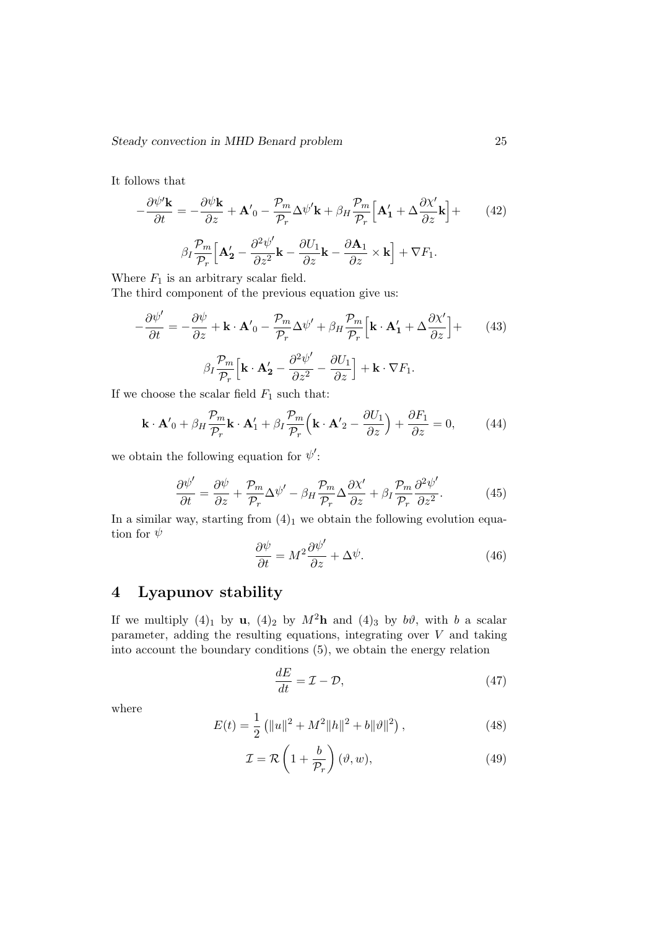It follows that

$$
-\frac{\partial \psi' \mathbf{k}}{\partial t} = -\frac{\partial \psi \mathbf{k}}{\partial z} + \mathbf{A}'_0 - \frac{\mathcal{P}_m}{\mathcal{P}_r} \Delta \psi' \mathbf{k} + \beta_H \frac{\mathcal{P}_m}{\mathcal{P}_r} \Big[ \mathbf{A}'_1 + \Delta \frac{\partial \chi'}{\partial z} \mathbf{k} \Big] +
$$
(42)  

$$
\beta_I \frac{\mathcal{P}_m}{\mathcal{P}_r} \Big[ \mathbf{A}'_2 - \frac{\partial^2 \psi'}{\partial z^2} \mathbf{k} - \frac{\partial U_1}{\partial z} \mathbf{k} - \frac{\partial \mathbf{A}_1}{\partial z} \times \mathbf{k} \Big] + \nabla F_1.
$$

Where  $F_1$  is an arbitrary scalar field.

The third component of the previous equation give us:

$$
-\frac{\partial \psi'}{\partial t} = -\frac{\partial \psi}{\partial z} + \mathbf{k} \cdot \mathbf{A}'_0 - \frac{\mathcal{P}_m}{\mathcal{P}_r} \Delta \psi' + \beta_H \frac{\mathcal{P}_m}{\mathcal{P}_r} \Big[ \mathbf{k} \cdot \mathbf{A}'_1 + \Delta \frac{\partial \chi'}{\partial z} \Big] +
$$
(43)  

$$
\beta_I \frac{\mathcal{P}_m}{\mathcal{P}_r} \Big[ \mathbf{k} \cdot \mathbf{A}'_2 - \frac{\partial^2 \psi'}{\partial z^2} - \frac{\partial U_1}{\partial z} \Big] + \mathbf{k} \cdot \nabla F_1.
$$

If we choose the scalar field  $F_1$  such that:

$$
\mathbf{k} \cdot \mathbf{A}'_0 + \beta_H \frac{\mathcal{P}_m}{\mathcal{P}_r} \mathbf{k} \cdot \mathbf{A}'_1 + \beta_I \frac{\mathcal{P}_m}{\mathcal{P}_r} \left( \mathbf{k} \cdot \mathbf{A}'_2 - \frac{\partial U_1}{\partial z} \right) + \frac{\partial F_1}{\partial z} = 0, \quad (44)
$$

we obtain the following equation for  $\psi'$ :

$$
\frac{\partial \psi'}{\partial t} = \frac{\partial \psi}{\partial z} + \frac{\mathcal{P}_m}{\mathcal{P}_r} \Delta \psi' - \beta_H \frac{\mathcal{P}_m}{\mathcal{P}_r} \Delta \frac{\partial \chi'}{\partial z} + \beta_I \frac{\mathcal{P}_m}{\mathcal{P}_r} \frac{\partial^2 \psi'}{\partial z^2}.
$$
(45)

In a similar way, starting from  $(4)_1$  we obtain the following evolution equation for  $\psi$ 

$$
\frac{\partial \psi}{\partial t} = M^2 \frac{\partial \psi'}{\partial z} + \Delta \psi.
$$
 (46)

# 4 Lyapunov stability

If we multiply (4)<sub>1</sub> by u, (4)<sub>2</sub> by  $M^2$ **h** and (4)<sub>3</sub> by  $b\vartheta$ , with b a scalar parameter, adding the resulting equations, integrating over  $V$  and taking into account the boundary conditions (5), we obtain the energy relation

$$
\frac{dE}{dt} = \mathcal{I} - \mathcal{D},\tag{47}
$$

where

$$
E(t) = \frac{1}{2} \left( \|u\|^2 + M^2 \|h\|^2 + b\|\vartheta\|^2 \right),\tag{48}
$$

$$
\mathcal{I} = \mathcal{R}\left(1 + \frac{b}{\mathcal{P}_r}\right)(\vartheta, w),\tag{49}
$$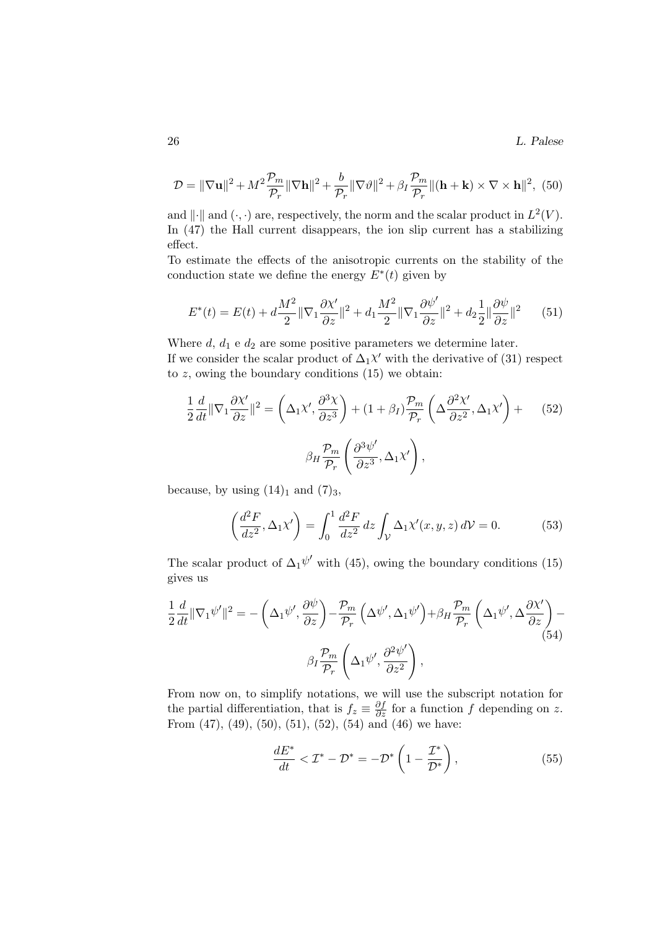26 L. Palese

$$
\mathcal{D} = \|\nabla \mathbf{u}\|^2 + M^2 \frac{\mathcal{P}_m}{\mathcal{P}_r} \|\nabla \mathbf{h}\|^2 + \frac{b}{\mathcal{P}_r} \|\nabla \vartheta\|^2 + \beta_I \frac{\mathcal{P}_m}{\mathcal{P}_r} \|( \mathbf{h} + \mathbf{k}) \times \nabla \times \mathbf{h} \|^2, (50)
$$

and  $\|\cdot\|$  and  $(\cdot, \cdot)$  are, respectively, the norm and the scalar product in  $L^2(V)$ . In (47) the Hall current disappears, the ion slip current has a stabilizing effect.

To estimate the effects of the anisotropic currents on the stability of the conduction state we define the energy  $E^*(t)$  given by

$$
E^*(t) = E(t) + d\frac{M^2}{2} \|\nabla_1 \frac{\partial \chi'}{\partial z}\|^2 + d_1 \frac{M^2}{2} \|\nabla_1 \frac{\partial \psi'}{\partial z}\|^2 + d_2 \frac{1}{2} \|\frac{\partial \psi}{\partial z}\|^2 \tag{51}
$$

Where  $d, d_1$  e  $d_2$  are some positive parameters we determine later.

If we consider the scalar product of  $\Delta_1 \chi'$  with the derivative of (31) respect to  $z$ , owing the boundary conditions  $(15)$  we obtain:

$$
\frac{1}{2}\frac{d}{dt}\|\nabla_1\frac{\partial\chi'}{\partial z}\|^2 = \left(\Delta_1\chi',\frac{\partial^3\chi}{\partial z^3}\right) + (1+\beta_I)\frac{\mathcal{P}_m}{\mathcal{P}_r}\left(\Delta\frac{\partial^2\chi'}{\partial z^2},\Delta_1\chi'\right) + \qquad(52)
$$

$$
\beta_H\frac{\mathcal{P}_m}{\mathcal{P}_r}\left(\frac{\partial^3\psi'}{\partial z^3},\Delta_1\chi'\right),
$$

because, by using  $(14)_1$  and  $(7)_3$ ,

$$
\left(\frac{d^2F}{dz^2}, \Delta_1\chi'\right) = \int_0^1 \frac{d^2F}{dz^2} dz \int_V \Delta_1\chi'(x, y, z) dV = 0.
$$
 (53)

The scalar product of  $\Delta_1 \psi'$  with (45), owing the boundary conditions (15) gives us

$$
\frac{1}{2}\frac{d}{dt}\|\nabla_1\psi'\|^2 = -\left(\Delta_1\psi',\frac{\partial\psi}{\partial z}\right) - \frac{\mathcal{P}_m}{\mathcal{P}_r}\left(\Delta\psi',\Delta_1\psi'\right) + \beta_H \frac{\mathcal{P}_m}{\mathcal{P}_r}\left(\Delta_1\psi',\Delta\frac{\partial\chi'}{\partial z}\right) - \beta_H \frac{\mathcal{P}_m}{\mathcal{P}_r}\left(\Delta_1\psi',\frac{\partial^2\psi'}{\partial z^2}\right),\tag{54}
$$

From now on, to simplify notations, we will use the subscript notation for the partial differentiation, that is  $f_z \equiv \frac{\partial f}{\partial z}$  for a function f depending on z. From  $(47)$ ,  $(49)$ ,  $(50)$ ,  $(51)$ ,  $(52)$ ,  $(54)$  and  $(46)$  we have:

$$
\frac{dE^*}{dt} < \mathcal{I}^* - \mathcal{D}^* = -\mathcal{D}^* \left( 1 - \frac{\mathcal{I}^*}{\mathcal{D}^*} \right),\tag{55}
$$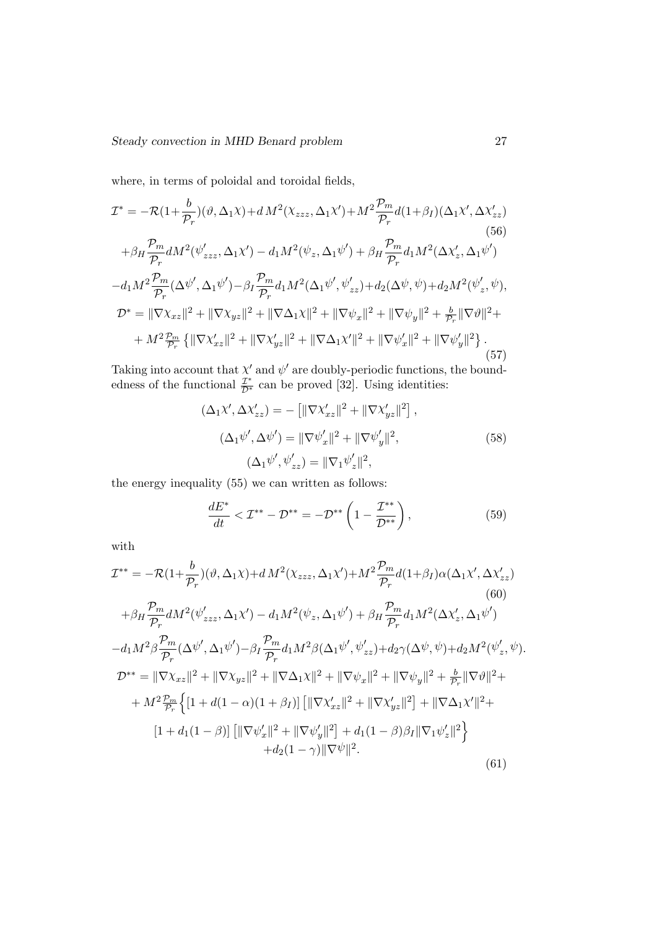where, in terms of poloidal and toroidal fields,

$$
\mathcal{I}^{*} = -\mathcal{R}(1+\frac{b}{\mathcal{P}_{r}})(\vartheta, \Delta_{1}\chi) + d M^{2}(\chi_{zzz}, \Delta_{1}\chi') + M^{2}\frac{\mathcal{P}_{m}}{\mathcal{P}_{r}}d(1+\beta_{I})(\Delta_{1}\chi', \Delta\chi'_{zz})
$$
\n(56)  
\n
$$
+\beta_{H}\frac{\mathcal{P}_{m}}{\mathcal{P}_{r}}dM^{2}(\psi'_{zzz}, \Delta_{1}\chi') - d_{1}M^{2}(\psi_{z}, \Delta_{1}\psi') + \beta_{H}\frac{\mathcal{P}_{m}}{\mathcal{P}_{r}}d_{1}M^{2}(\Delta\chi'_{z}, \Delta_{1}\psi')
$$
\n(56)  
\n
$$
-d_{1}M^{2}\frac{\mathcal{P}_{m}}{\mathcal{P}_{r}}(\Delta\psi', \Delta_{1}\psi') - \beta_{I}\frac{\mathcal{P}_{m}}{\mathcal{P}_{r}}d_{1}M^{2}(\Delta_{1}\psi', \psi'_{zz}) + d_{2}(\Delta\psi, \psi) + d_{2}M^{2}(\psi'_{z}, \psi),
$$
\n
$$
\mathcal{D}^{*} = \|\nabla\chi_{xz}\|^{2} + \|\nabla\chi_{yz}\|^{2} + \|\nabla\Delta_{1}\chi\|^{2} + \|\nabla\psi_{x}\|^{2} + \|\nabla\psi_{y}\|^{2} + \frac{b}{\mathcal{P}_{r}}\|\nabla\vartheta\|^{2} +
$$
\n
$$
+ M^{2}\frac{\mathcal{P}_{m}}{\mathcal{P}_{r}}\left\{\|\nabla\chi'_{xz}\|^{2} + \|\nabla\chi'_{yz}\|^{2} + \|\nabla\Delta_{1}\chi'\|^{2} + \|\nabla\psi'_{x}\|^{2} + \|\nabla\psi'_{y}\|^{2}\right\}.
$$
\n(57)

Taking into account that  $\chi'$  and  $\psi'$  are doubly-periodic functions, the boundedness of the functional  $\frac{\mathcal{I}^*}{\mathcal{D}^*}$  can be proved [32]. Using identities:

$$
(\Delta_1 \chi', \Delta \chi'_{zz}) = - [||\nabla \chi'_{xz}||^2 + ||\nabla \chi'_{yz}||^2],
$$
  
\n
$$
(\Delta_1 \psi', \Delta \psi') = ||\nabla \psi'_x||^2 + ||\nabla \psi'_y||^2,
$$
  
\n
$$
(\Delta_1 \psi', \psi'_{zz}) = ||\nabla_1 \psi'_z||^2,
$$
\n(58)

the energy inequality (55) we can written as follows:

$$
\frac{dE^*}{dt} < \mathcal{I}^{**} - \mathcal{D}^{**} = -\mathcal{D}^{**} \left( 1 - \frac{\mathcal{I}^{**}}{\mathcal{D}^{**}} \right),\tag{59}
$$

with

$$
\mathcal{I}^{**} = -\mathcal{R}(1+\frac{b}{\mathcal{P}_r})(\vartheta, \Delta_1\chi) + d M^2(\chi_{zzz}, \Delta_1\chi') + M^2 \frac{\mathcal{P}_m}{\mathcal{P}_r} d(1+\beta_I)\alpha(\Delta_1\chi', \Delta\chi'_{zz})
$$
\n(60)  
\n
$$
+ \beta_H \frac{\mathcal{P}_m}{\mathcal{P}_r} dM^2(\psi'_{zzz}, \Delta_1\chi') - d_1 M^2(\psi_z, \Delta_1\psi') + \beta_H \frac{\mathcal{P}_m}{\mathcal{P}_r} d_1 M^2(\Delta\chi'_z, \Delta_1\psi')
$$
\n
$$
-d_1 M^2 \beta \frac{\mathcal{P}_m}{\mathcal{P}_r} (\Delta\psi', \Delta_1\psi') - \beta_I \frac{\mathcal{P}_m}{\mathcal{P}_r} d_1 M^2 \beta(\Delta_1\psi', \psi'_{zz}) + d_2 \gamma(\Delta\psi, \psi) + d_2 M^2(\psi'_z, \psi).
$$
\n
$$
\mathcal{D}^{**} = \|\nabla\chi_{xz}\|^2 + \|\nabla\chi_{yz}\|^2 + \|\nabla\Delta_1\chi\|^2 + \|\nabla\psi_x\|^2 + \|\nabla\psi_y\|^2 + \frac{b}{\mathcal{P}_r} \|\nabla\vartheta\|^2 +
$$
\n
$$
+ M^2 \frac{\mathcal{P}_m}{\mathcal{P}_r} \Big\{ [1 + d(1 - \alpha)(1 + \beta_I)] \Big[ \|\nabla\chi'_{xz}\|^2 + \|\nabla\chi'_{yz}\|^2 \Big] + \|\nabla\Delta_1\chi'\|^2 +
$$
\n
$$
[1 + d_1(1 - \beta)] \Big[ \|\nabla\psi'_x\|^2 + \|\nabla\psi'_y\|^2 \Big] + d_1(1 - \beta)\beta_I \|\nabla_1\psi'_z\|^2 \Big\}
$$
\n(61)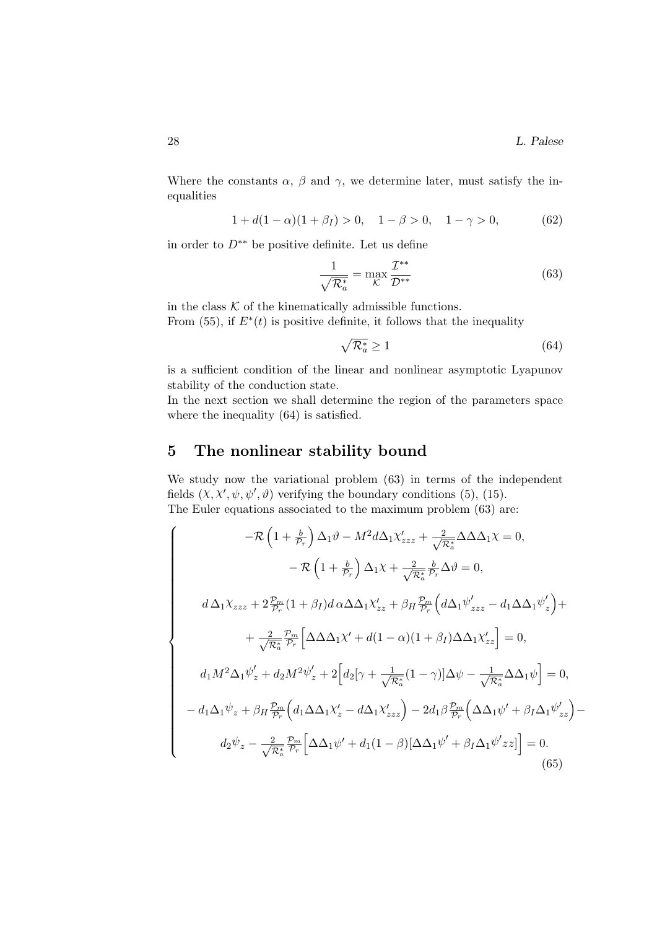Where the constants  $\alpha$ ,  $\beta$  and  $\gamma$ , we determine later, must satisfy the inequalities

$$
1 + d(1 - \alpha)(1 + \beta_I) > 0, \quad 1 - \beta > 0, \quad 1 - \gamma > 0,
$$
 (62)

in order to  $D^{**}$  be positive definite. Let us define

$$
\frac{1}{\sqrt{\mathcal{R}_a^*}} = \max_{\mathcal{K}} \frac{\mathcal{I}^{**}}{\mathcal{D}^{**}} \tag{63}
$$

in the class  $K$  of the kinematically admissible functions. From  $(55)$ , if  $E^*(t)$  is positive definite, it follows that the inequality

$$
\sqrt{\mathcal{R}_a^*} \ge 1\tag{64}
$$

is a sufficient condition of the linear and nonlinear asymptotic Lyapunov stability of the conduction state.

In the next section we shall determine the region of the parameters space where the inequality (64) is satisfied.

# 5 The nonlinear stability bound

We study now the variational problem (63) in terms of the independent fields  $(X, X', \psi, \psi', \vartheta)$  verifying the boundary conditions (5), (15). The Euler equations associated to the maximum problem (63) are:

$$
\begin{cases}\n-\mathcal{R}\left(1+\frac{b}{\mathcal{P}_r}\right)\Delta_1\vartheta - M^2d\Delta_1\chi'_{zzz} + \frac{2}{\sqrt{\mathcal{R}_a^*}}\Delta\Delta\Delta_1\chi = 0, \\
-\mathcal{R}\left(1+\frac{b}{\mathcal{P}_r}\right)\Delta_1\chi + \frac{2}{\sqrt{\mathcal{R}_a^*}}\frac{b}{\mathcal{P}_r}\Delta\vartheta = 0, \\
d\Delta_1\chi_{zzz} + 2\frac{\mathcal{P}_m}{\mathcal{P}_r}(1+\beta_I)d\alpha\Delta\Delta_1\chi'_{zz} + \beta_H\frac{\mathcal{P}_m}{\mathcal{P}_r}\left(d\Delta_1\psi'_{zzz} - d_1\Delta\Delta_1\psi'_{z}\right) + \\
+\frac{2}{\sqrt{\mathcal{R}_a^*}}\frac{\mathcal{P}_m}{\mathcal{P}_r}\left[\Delta\Delta\Delta_1\chi' + d(1-\alpha)(1+\beta_I)\Delta\Delta_1\chi'_{zz}\right] = 0, \\
d_1M^2\Delta_1\psi'_z + d_2M^2\psi'_z + 2\left[d_2[\gamma + \frac{1}{\sqrt{\mathcal{R}_a^*}}(1-\gamma)]\Delta\psi - \frac{1}{\sqrt{\mathcal{R}_a^*}}\Delta\Delta_1\psi\right] = 0, \\
-d_1\Delta_1\psi_z + \beta_H\frac{\mathcal{P}_m}{\mathcal{P}_r}\left(d_1\Delta\Delta_1\chi'_z - d\Delta_1\chi'_{zzz}\right) - 2d_1\beta\frac{\mathcal{P}_m}{\mathcal{P}_r}\left(\Delta\Delta_1\psi' + \beta_I\Delta_1\psi'_{zz}\right) - \\
d_2\psi_z - \frac{2}{\sqrt{\mathcal{R}_a^*}}\frac{\mathcal{P}_m}{\mathcal{P}_r}\left[\Delta\Delta_1\psi' + d_1(1-\beta)[\Delta\Delta_1\psi' + \beta_I\Delta_1\psi'_{zz}] \right] = 0. \n\end{cases} \tag{65}
$$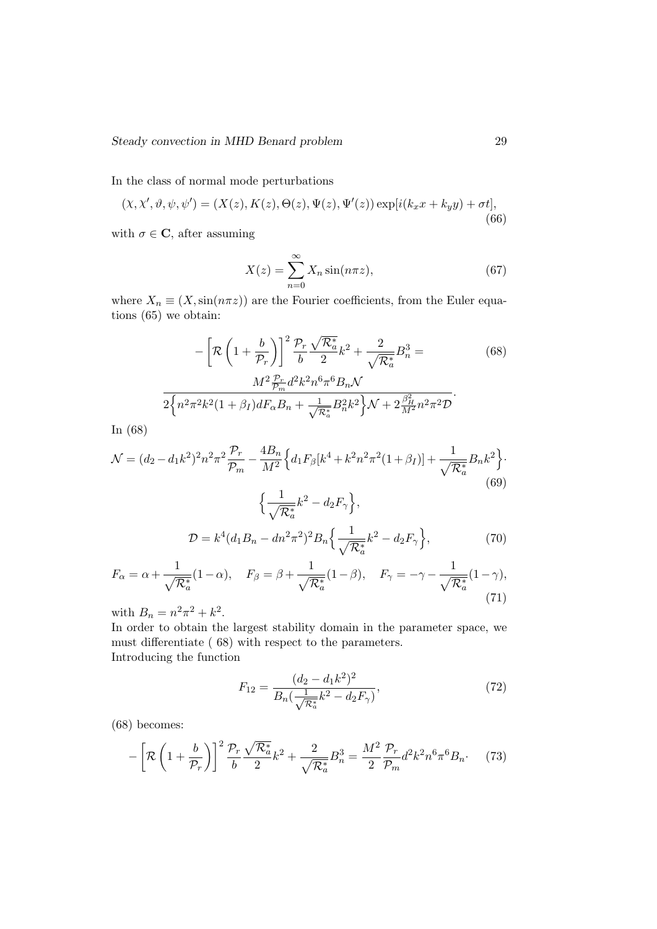In the class of normal mode perturbations

$$
(X, X', \vartheta, \psi, \psi') = (X(z), K(z), \Theta(z), \Psi(z), \Psi'(z)) \exp[i(k_x x + k_y y) + \sigma t],
$$
\n(66)

with  $\sigma \in \mathbf{C}$ , after assuming

$$
X(z) = \sum_{n=0}^{\infty} X_n \sin(n\pi z),
$$
\n(67)

where  $X_n \equiv (X,\sin(n\pi z))$  are the Fourier coefficients, from the Euler equations (65) we obtain:

$$
-\left[\mathcal{R}\left(1+\frac{b}{\mathcal{P}_r}\right)\right]^2 \frac{\mathcal{P}_r}{b} \frac{\sqrt{\mathcal{R}_a^*}}{2} k^2 + \frac{2}{\sqrt{\mathcal{R}_a^*}} B_n^3 =
$$
\n
$$
\frac{M^2 \frac{\mathcal{P}_r}{\mathcal{P}_m} d^2 k^2 n^6 \pi^6 B_n \mathcal{N}}{2\left\{n^2 \pi^2 k^2 (1+\beta_I) dF_\alpha B_n + \frac{1}{\sqrt{\mathcal{R}_a^*}} B_n^2 k^2\right\} \mathcal{N} + 2\frac{\beta_H^2}{M^2} n^2 \pi^2 \mathcal{D}}.
$$
\n(68)

In (68)

$$
\mathcal{N} = (d_2 - d_1 k^2)^2 n^2 \pi^2 \frac{\mathcal{P}_r}{\mathcal{P}_m} - \frac{4B_n}{M^2} \Big\{ d_1 F_\beta [k^4 + k^2 n^2 \pi^2 (1 + \beta_I)] + \frac{1}{\sqrt{\mathcal{R}_a^*}} B_n k^2 \Big\}.
$$
\n
$$
\Big\{ \frac{1}{\sqrt{\mathcal{R}_a^*}} k^2 - d_2 F_\gamma \Big\},
$$
\n
$$
\mathcal{D} = k^4 (d_1 B_n - d n^2 \pi^2)^2 B_n \Big\{ \frac{1}{\sqrt{\mathcal{R}_a^*}} k^2 - d_2 F_\gamma \Big\},
$$
\n(70)

$$
F_{\alpha} = \alpha + \frac{1}{\sqrt{\mathcal{R}_a^*}} (1 - \alpha), \quad F_{\beta} = \beta + \frac{1}{\sqrt{\mathcal{R}_a^*}} (1 - \beta), \quad F_{\gamma} = -\gamma - \frac{1}{\sqrt{\mathcal{R}_a^*}} (1 - \gamma),
$$
\n(71)

with  $B_n = n^2 \pi^2 + k^2$ .

In order to obtain the largest stability domain in the parameter space, we must differentiate ( 68) with respect to the parameters. Introducing the function

> $F_{12} = \frac{(d_2 - d_1k^2)^2}{R_1(1 - k_1k_1)}$  $B_n(\frac{1}{\sqrt{2}})$  $\frac{1}{\mathcal{R}^*_a}k^2 - d_2F_\gamma$  $(72)$

(68) becomes:

$$
-\left[\mathcal{R}\left(1+\frac{b}{\mathcal{P}_r}\right)\right]^2 \frac{\mathcal{P}_r}{b} \frac{\sqrt{\mathcal{R}_a^*}}{2} k^2 + \frac{2}{\sqrt{\mathcal{R}_a^*}} B_n^3 = \frac{M^2}{2} \frac{\mathcal{P}_r}{\mathcal{P}_m} d^2 k^2 n^6 \pi^6 B_n. \tag{73}
$$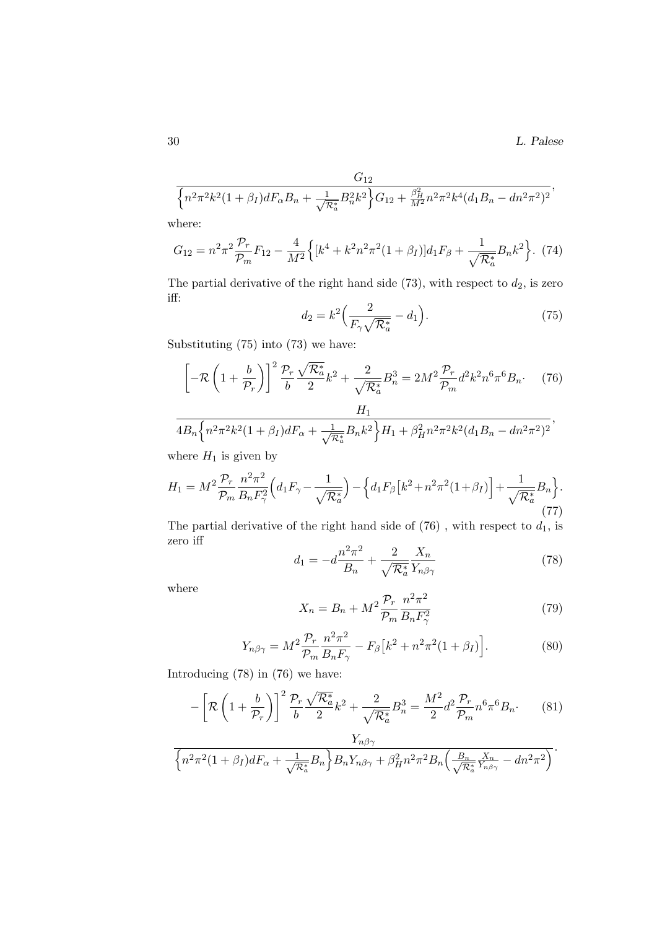$$
\frac{G_{12}}{\left\{n^2\pi^2k^2(1+\beta_I)dF_{\alpha}B_n+\frac{1}{\sqrt{\mathcal{R}^*_a}}B_n^2k^2\right\}G_{12}+\frac{\beta_H^2}{M^2}n^2\pi^2k^4(d_1B_n-dn^2\pi^2)^2},
$$

where:

$$
G_{12} = n^2 \pi^2 \frac{\mathcal{P}_r}{\mathcal{P}_m} F_{12} - \frac{4}{M^2} \left\{ \left[ k^4 + k^2 n^2 \pi^2 (1 + \beta_I) \right] d_1 F_\beta + \frac{1}{\sqrt{\mathcal{R}_a^*}} B_n k^2 \right\}.
$$
 (74)

The partial derivative of the right hand side  $(73)$ , with respect to  $d_2$ , is zero iff:

$$
d_2 = k^2 \left(\frac{2}{F_\gamma \sqrt{\mathcal{R}_a^*}} - d_1\right). \tag{75}
$$

Substituting (75) into (73) we have:

$$
\left[-\mathcal{R}\left(1+\frac{b}{\mathcal{P}_r}\right)\right]^2 \frac{\mathcal{P}_r}{b} \frac{\sqrt{\mathcal{R}_a^*}}{2} k^2 + \frac{2}{\sqrt{\mathcal{R}_a^*}} B_n^3 = 2M^2 \frac{\mathcal{P}_r}{\mathcal{P}_m} d^2 k^2 n^6 \pi^6 B_n. \tag{76}
$$

$$
\frac{1}{4B_n \left\{ n^2 \pi^2 k^2 (1+\beta_I) dF_\alpha + \frac{1}{\sqrt{R_a^*}} B_n k^2 \right\} H_1 + \beta_H^2 n^2 \pi^2 k^2 (d_1 B_n - d n^2 \pi^2)^2},
$$

where  $H_1$  is given by

$$
H_1 = M^2 \frac{\mathcal{P}_r}{\mathcal{P}_m} \frac{n^2 \pi^2}{B_n F_\gamma^2} \Big( d_1 F_\gamma - \frac{1}{\sqrt{\mathcal{R}_a^*}} \Big) - \Big\{ d_1 F_\beta \big[ k^2 + n^2 \pi^2 (1 + \beta_I) \Big] + \frac{1}{\sqrt{\mathcal{R}_a^*}} B_n \Big\}.
$$
\n(77)

The partial derivative of the right hand side of  $(76)$ , with respect to  $d_1$ , is zero iff

$$
d_1 = -d\frac{n^2\pi^2}{B_n} + \frac{2}{\sqrt{\mathcal{R}_a^*}} \frac{X_n}{Y_{n\beta\gamma}}
$$
(78)

where

$$
X_n = B_n + M^2 \frac{\mathcal{P}_r}{\mathcal{P}_m} \frac{n^2 \pi^2}{B_n F_\gamma^2} \tag{79}
$$

$$
Y_{n\beta\gamma} = M^2 \frac{\mathcal{P}_r}{\mathcal{P}_m} \frac{n^2 \pi^2}{B_n F_\gamma} - F_\beta \left[ k^2 + n^2 \pi^2 (1 + \beta_I) \right]. \tag{80}
$$

Introducing (78) in (76) we have:

$$
-\left[\mathcal{R}\left(1+\frac{b}{\mathcal{P}_r}\right)\right]^2 \frac{\mathcal{P}_r}{b} \frac{\sqrt{\mathcal{R}_a^*}}{2} k^2 + \frac{2}{\sqrt{\mathcal{R}_a^*}} B_n^3 = \frac{M^2}{2} d^2 \frac{\mathcal{P}_r}{\mathcal{P}_m} n^6 \pi^6 B_n. \tag{81}
$$

$$
\frac{Y_{n\beta\gamma}}{\left\{n^2\pi^2(1+\beta_I)dF_{\alpha}+\frac{1}{\sqrt{\mathcal{R}_a^*}}B_n\right\}B_nY_{n\beta\gamma}+\beta_H^2n^2\pi^2B_n\left(\frac{B_n}{\sqrt{\mathcal{R}_a^*}}\frac{X_n}{Y_{n\beta\gamma}}-dn^2\pi^2\right)}.
$$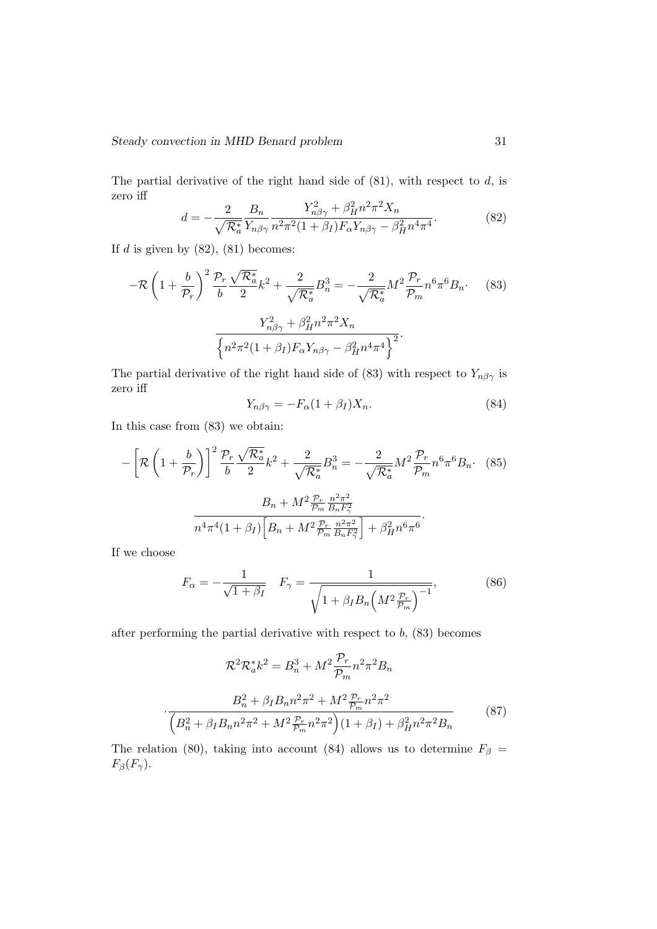The partial derivative of the right hand side of  $(81)$ , with respect to d, is zero iff  $\overline{a}$  $\overline{2}$ 

$$
d = -\frac{2}{\sqrt{\mathcal{R}_a^*}} \frac{B_n}{Y_{n\beta\gamma}} \frac{Y_{n\beta\gamma}^2 + \beta_H^2 n^2 \pi^2 X_n}{n^2 \pi^2 (1 + \beta_I) F_\alpha Y_{n\beta\gamma} - \beta_H^2 n^4 \pi^4}.
$$
(82)

If  $d$  is given by  $(82)$ ,  $(81)$  becomes:

$$
-\mathcal{R}\left(1+\frac{b}{\mathcal{P}_r}\right)^2 \frac{\mathcal{P}_r}{b} \frac{\sqrt{\mathcal{R}_a^*}}{2} k^2 + \frac{2}{\sqrt{\mathcal{R}_a^*}} B_n^3 = -\frac{2}{\sqrt{\mathcal{R}_a^*}} M^2 \frac{\mathcal{P}_r}{\mathcal{P}_m} n^6 \pi^6 B_n. \tag{83}
$$

$$
\frac{Y_{n\beta\gamma}^2 + \beta_H^2 n^2 \pi^2 X_n}{\left\{n^2 \pi^2 (1+\beta_I) F_\alpha Y_{n\beta\gamma} - \beta_H^2 n^4 \pi^4\right\}^2}.
$$

The partial derivative of the right hand side of (83) with respect to  $Y_{n\beta\gamma}$  is zero iff

$$
Y_{n\beta\gamma} = -F_{\alpha}(1+\beta_I)X_n.
$$
\n(84)

In this case from (83) we obtain:

$$
-\left[\mathcal{R}\left(1+\frac{b}{\mathcal{P}_r}\right)\right]^2 \frac{\mathcal{P}_r}{b} \frac{\sqrt{\mathcal{R}_a^*}}{2} k^2 + \frac{2}{\sqrt{\mathcal{R}_a^*}} B_n^3 = -\frac{2}{\sqrt{\mathcal{R}_a^*}} M^2 \frac{\mathcal{P}_r}{\mathcal{P}_m} n^6 \pi^6 B_n. \tag{85}
$$

$$
B_n + M^2 \frac{\mathcal{P}_r}{\mathcal{P}_m} \frac{n^2 \pi^2}{B_n F_\gamma^2}
$$

$$
n^4 \pi^4 (1+\beta_I) \left[B_n + M^2 \frac{\mathcal{P}_r}{\mathcal{P}_m} \frac{n^2 \pi^2}{B_n F_\gamma^2}\right] + \beta_H^2 n^6 \pi^6.
$$

If we choose

$$
F_{\alpha} = -\frac{1}{\sqrt{1 + \beta_I}} \quad F_{\gamma} = \frac{1}{\sqrt{1 + \beta_I B_n \left(M^2 \frac{\mathcal{P}_r}{\mathcal{P}_m}\right)^{-1}}},\tag{86}
$$

after performing the partial derivative with respect to  $b$ ,  $(83)$  becomes

$$
\mathcal{R}^{2}\mathcal{R}_{a}^{*}k^{2} = B_{n}^{3} + M^{2}\frac{\mathcal{P}_{r}}{\mathcal{P}_{m}}n^{2}\pi^{2}B_{n}
$$

$$
\cdot \frac{B_{n}^{2} + \beta_{I}B_{n}n^{2}\pi^{2} + M^{2}\frac{\mathcal{P}_{r}}{\mathcal{P}_{m}}n^{2}\pi^{2}}{\left(B_{n}^{2} + \beta_{I}B_{n}n^{2}\pi^{2} + M^{2}\frac{\mathcal{P}_{r}}{\mathcal{P}_{m}}n^{2}\pi^{2}\right)\left(1 + \beta_{I}\right) + \beta_{H}^{2}n^{2}\pi^{2}B_{n}}
$$
(87)

The relation (80), taking into account (84) allows us to determine  $F_\beta =$  $F_\beta(F_\gamma).$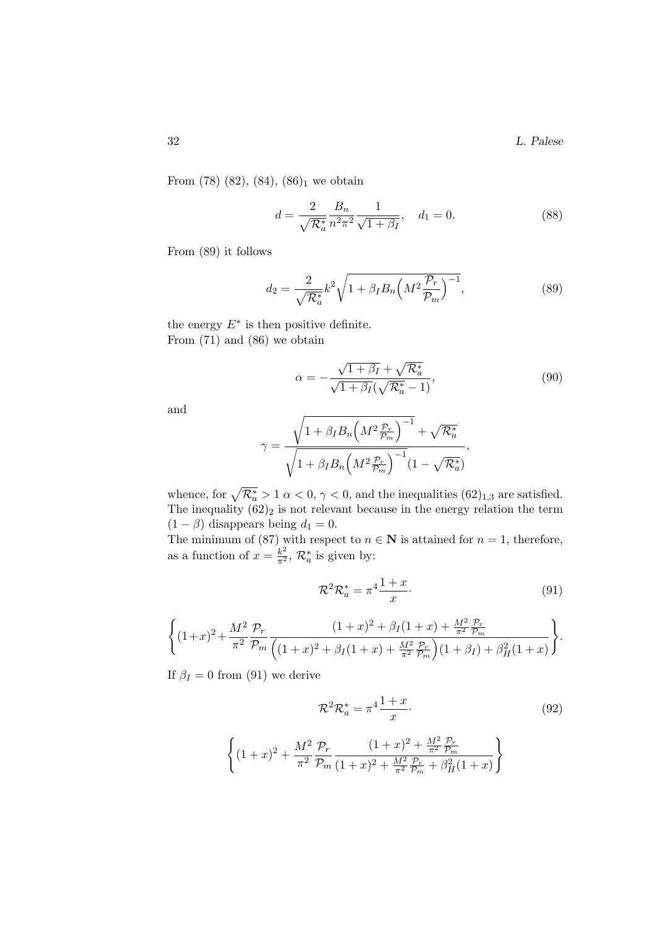32 L. Palese

From  $(78)$   $(82)$ ,  $(84)$ ,  $(86)_1$  we obtain

$$
d = \frac{2}{\sqrt{\mathcal{R}_a^*}} \frac{B_n}{n^2 \pi^2} \frac{1}{\sqrt{1 + \beta_I}}, \quad d_1 = 0.
$$
 (88)

From (89) it follows

$$
d_2 = \frac{2}{\sqrt{\mathcal{R}_a^*}} k^2 \sqrt{1 + \beta_I B_n \left(M^2 \frac{\mathcal{P}_r}{\mathcal{P}_m}\right)^{-1}},\tag{89}
$$

the energy  $E^*$  is then positive definite. From (71) and (86) we obtain

$$
\alpha = -\frac{\sqrt{1+\beta_I} + \sqrt{\mathcal{R}_a^*}}{\sqrt{1+\beta_I}(\sqrt{\mathcal{R}_a^*}-1)},\tag{90}
$$

and

$$
\gamma = \frac{\sqrt{1 + \beta_I B_n \left(M^2 \frac{\mathcal{P}_r}{\mathcal{P}_m}\right)^{-1}} + \sqrt{\mathcal{R}_a^*}}{\sqrt{1 + \beta_I B_n \left(M^2 \frac{\mathcal{P}_r}{\mathcal{P}_m}\right)^{-1}} (1 - \sqrt{\mathcal{R}_a^*})},
$$

whence, for  $\sqrt{\mathcal{R}_a^*} > 1$   $\alpha < 0$ ,  $\gamma < 0$ , and the inequalities  $(62)_{1,3}$  are satisfied. The inequality  $(62)_2$  is not relevant because in the energy relation the term  $(1 - \beta)$  disappears being  $d_1 = 0$ .

The minimum of (87) with respect to  $n \in \mathbb{N}$  is attained for  $n = 1$ , therefore, as a function of  $x = \frac{k^2}{\pi^2}$ ,  $\mathcal{R}_a^*$  is given by:

$$
\mathcal{R}^2 \mathcal{R}_a^* = \pi^4 \frac{1+x}{x}.\tag{91}
$$

$$
\left\{ (1+x)^2 + \frac{M^2}{\pi^2} \frac{\mathcal{P}_r}{\mathcal{P}_m} \frac{(1+x)^2 + \beta_I (1+x) + \frac{M^2}{\pi^2} \frac{\mathcal{P}_r}{\mathcal{P}_m}}{\left( (1+x)^2 + \beta_I (1+x) + \frac{M^2}{\pi^2} \frac{\mathcal{P}_r}{\mathcal{P}_m} \right) (1+\beta_I) + \beta_H^2 (1+x) \right\}.
$$

If  $\beta_I = 0$  from (91) we derive

 $\int$ 

$$
\mathcal{R}^2 \mathcal{R}_a^* = \pi^4 \frac{1+x}{x}.
$$
\n
$$
(1+x)^2 + \frac{M^2}{\pi^2} \frac{\mathcal{P}_r}{\mathcal{P}_m} \frac{(1+x)^2 + \frac{M^2}{\pi^2} \frac{\mathcal{P}_r}{\mathcal{P}_m}}{(1+x)^2 + \frac{M^2}{\pi^2} \frac{\mathcal{P}_r}{\mathcal{P}_m} + \beta_H^2 (1+x)}\right\}
$$
\n(92)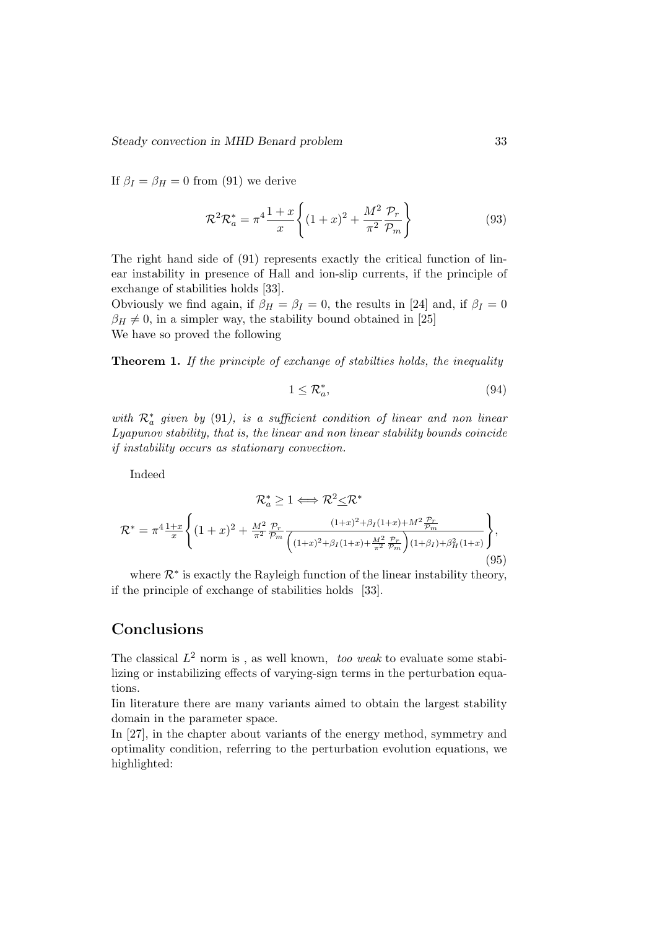If  $\beta_I = \beta_H = 0$  from (91) we derive

$$
\mathcal{R}^2 \mathcal{R}_a^* = \pi^4 \frac{1+x}{x} \left\{ (1+x)^2 + \frac{M^2}{\pi^2} \frac{\mathcal{P}_r}{\mathcal{P}_m} \right\} \tag{93}
$$

The right hand side of (91) represents exactly the critical function of linear instability in presence of Hall and ion-slip currents, if the principle of exchange of stabilities holds [33].

Obviously we find again, if  $\beta_H = \beta_I = 0$ , the results in [24] and, if  $\beta_I = 0$  $\beta_H \neq 0$ , in a simpler way, the stability bound obtained in [25] We have so proved the following

Theorem 1. If the principle of exchange of stabilities holds, the inequality

$$
1 \leq \mathcal{R}_a^*,\tag{94}
$$

with  $\mathcal{R}^*_a$  given by (91), is a sufficient condition of linear and non linear Lyapunov stability, that is, the linear and non linear stability bounds coincide if instability occurs as stationary convection.

Indeed

$$
\mathcal{R}_a^* \ge 1 \Longleftrightarrow \mathcal{R}^2 \le \mathcal{R}^*
$$
  

$$
\mathcal{R}^* = \pi^4 \frac{1+x}{x} \left\{ (1+x)^2 + \frac{M^2}{\pi^2} \frac{\mathcal{P}_r}{\mathcal{P}_m} \frac{(1+x)^2 + \beta_I (1+x) + M^2 \frac{\mathcal{P}_r}{\mathcal{P}_m}}{\left( (1+x)^2 + \beta_I (1+x) + \frac{M^2}{\pi^2} \frac{\mathcal{P}_r}{\mathcal{P}_m} \right) (1+\beta_I) + \beta_H^2 (1+x)} \right\},
$$
(95)

where  $\mathcal{R}^*$  is exactly the Rayleigh function of the linear instability theory, if the principle of exchange of stabilities holds [33].

# Conclusions

The classical  $L^2$  norm is, as well known, too weak to evaluate some stabilizing or instabilizing effects of varying-sign terms in the perturbation equations.

Iin literature there are many variants aimed to obtain the largest stability domain in the parameter space.

In [27], in the chapter about variants of the energy method, symmetry and optimality condition, referring to the perturbation evolution equations, we highlighted: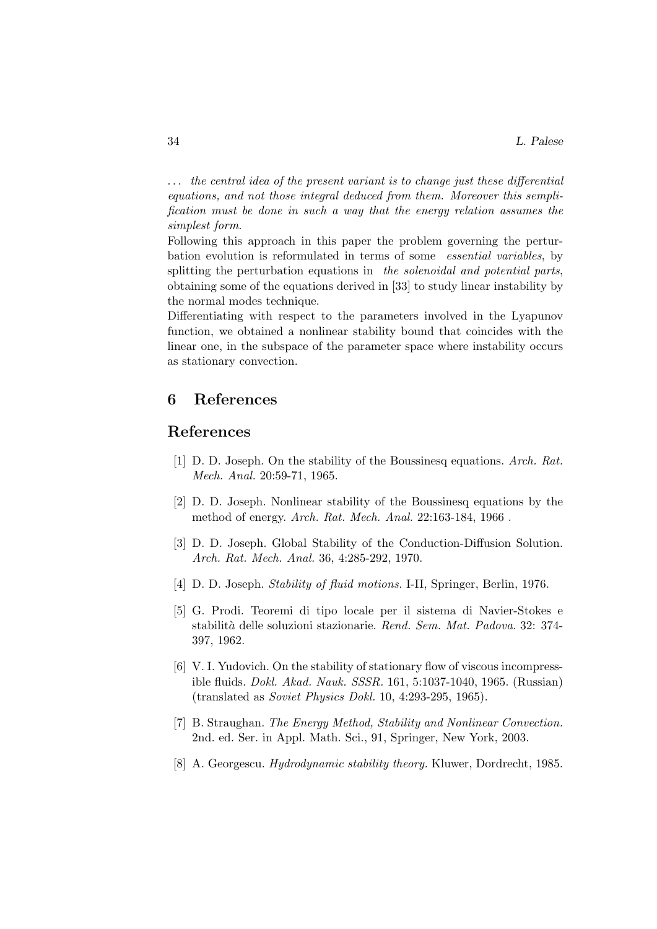. . . the central idea of the present variant is to change just these differential equations, and not those integral deduced from them. Moreover this semplification must be done in such a way that the energy relation assumes the simplest form.

Following this approach in this paper the problem governing the perturbation evolution is reformulated in terms of some essential variables, by splitting the perturbation equations in the solenoidal and potential parts, obtaining some of the equations derived in [33] to study linear instability by the normal modes technique.

Differentiating with respect to the parameters involved in the Lyapunov function, we obtained a nonlinear stability bound that coincides with the linear one, in the subspace of the parameter space where instability occurs as stationary convection.

## 6 References

#### References

- [1] D. D. Joseph. On the stability of the Boussinesq equations. Arch. Rat. Mech. Anal. 20:59-71, 1965.
- [2] D. D. Joseph. Nonlinear stability of the Boussinesq equations by the method of energy. Arch. Rat. Mech. Anal. 22:163-184, 1966 .
- [3] D. D. Joseph. Global Stability of the Conduction-Diffusion Solution. Arch. Rat. Mech. Anal. 36, 4:285-292, 1970.
- [4] D. D. Joseph. Stability of fluid motions. I-II, Springer, Berlin, 1976.
- [5] G. Prodi. Teoremi di tipo locale per il sistema di Navier-Stokes e stabilit`a delle soluzioni stazionarie. Rend. Sem. Mat. Padova. 32: 374- 397, 1962.
- [6] V. I. Yudovich. On the stability of stationary flow of viscous incompressible fluids. Dokl. Akad. Nauk. SSSR. 161, 5:1037-1040, 1965. (Russian) (translated as Soviet Physics Dokl. 10, 4:293-295, 1965).
- [7] B. Straughan. The Energy Method, Stability and Nonlinear Convection. 2nd. ed. Ser. in Appl. Math. Sci., 91, Springer, New York, 2003.
- [8] A. Georgescu. Hydrodynamic stability theory. Kluwer, Dordrecht, 1985.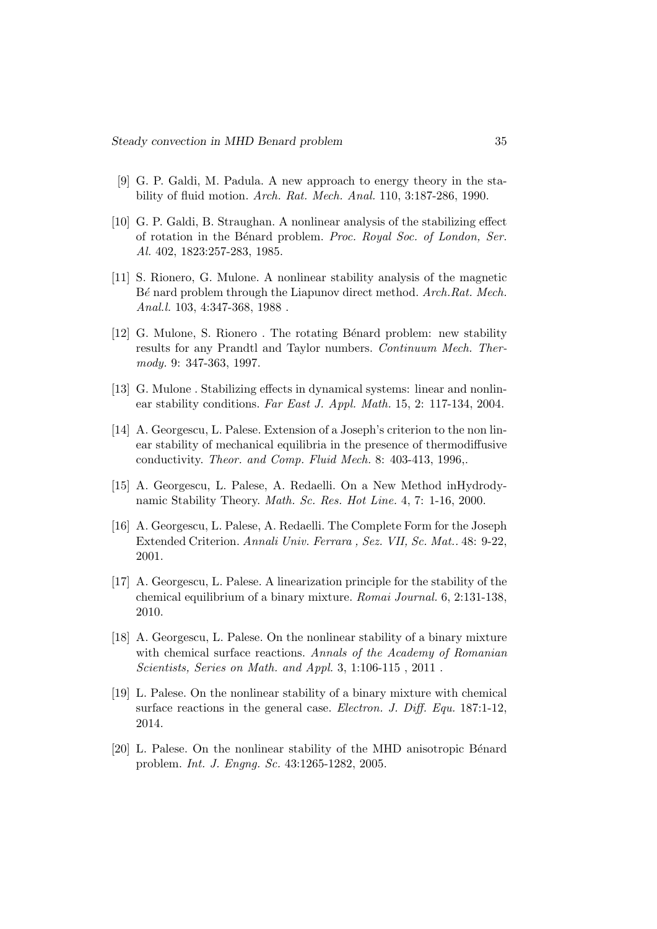- [9] G. P. Galdi, M. Padula. A new approach to energy theory in the stability of fluid motion. Arch. Rat. Mech. Anal. 110, 3:187-286, 1990.
- [10] G. P. Galdi, B. Straughan. A nonlinear analysis of the stabilizing effect of rotation in the Bénard problem. Proc. Royal Soc. of London, Ser. Al. 402, 1823:257-283, 1985.
- [11] S. Rionero, G. Mulone. A nonlinear stability analysis of the magnetic Bé nard problem through the Liapunov direct method. Arch.Rat. Mech. Anal.l. 103, 4:347-368, 1988.
- [12] G. Mulone, S. Rionero. The rotating Bénard problem: new stability results for any Prandtl and Taylor numbers. Continuum Mech. Thermody. 9: 347-363, 1997.
- [13] G. Mulone . Stabilizing effects in dynamical systems: linear and nonlinear stability conditions. Far East J. Appl. Math. 15, 2: 117-134, 2004.
- [14] A. Georgescu, L. Palese. Extension of a Joseph's criterion to the non linear stability of mechanical equilibria in the presence of thermodiffusive conductivity. Theor. and Comp. Fluid Mech. 8: 403-413, 1996,.
- [15] A. Georgescu, L. Palese, A. Redaelli. On a New Method inHydrodynamic Stability Theory. Math. Sc. Res. Hot Line. 4, 7: 1-16, 2000.
- [16] A. Georgescu, L. Palese, A. Redaelli. The Complete Form for the Joseph Extended Criterion. Annali Univ. Ferrara , Sez. VII, Sc. Mat.. 48: 9-22, 2001.
- [17] A. Georgescu, L. Palese. A linearization principle for the stability of the chemical equilibrium of a binary mixture. Romai Journal. 6, 2:131-138, 2010.
- [18] A. Georgescu, L. Palese. On the nonlinear stability of a binary mixture with chemical surface reactions. Annals of the Academy of Romanian Scientists, Series on Math. and Appl. 3, 1:106-115 , 2011 .
- [19] L. Palese. On the nonlinear stability of a binary mixture with chemical surface reactions in the general case. *Electron. J. Diff. Equ.* 187:1-12, 2014.
- [20] L. Palese. On the nonlinear stability of the MHD anisotropic Bénard problem. Int. J. Engng. Sc. 43:1265-1282, 2005.